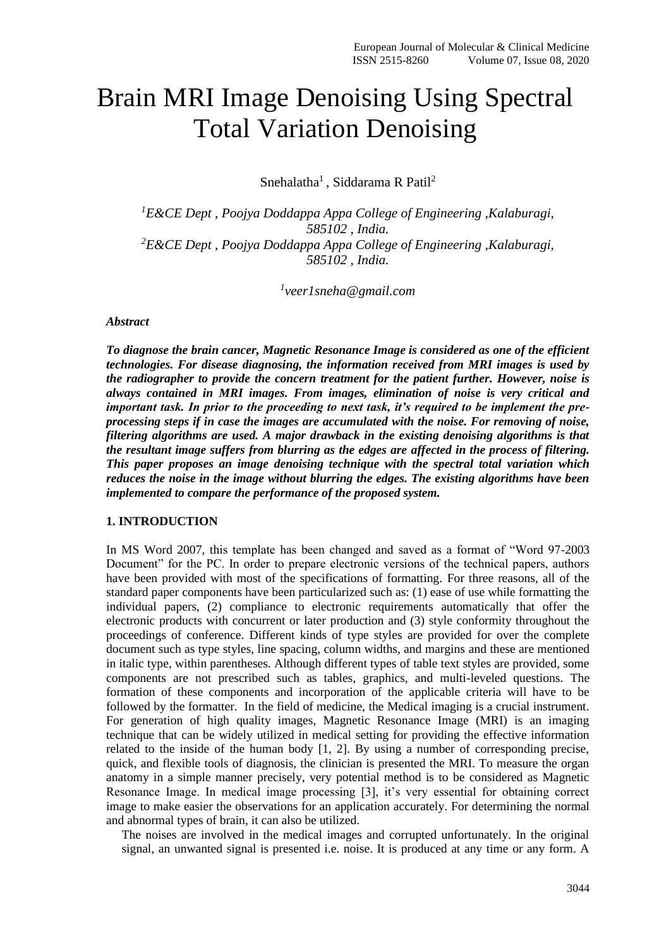# Brain MRI Image Denoising Using Spectral Total Variation Denoising

Snehalatha<sup>1</sup>, Siddarama R Patil<sup>2</sup>

*<sup>1</sup>E&CE Dept , Poojya Doddappa Appa College of Engineering ,Kalaburagi, 585102 , India. <sup>2</sup>E&CE Dept , Poojya Doddappa Appa College of Engineering ,Kalaburagi, 585102 , India.*

*1 veer1sneha@gmail.com*

#### *Abstract*

*To diagnose the brain cancer, Magnetic Resonance Image is considered as one of the efficient technologies. For disease diagnosing, the information received from MRI images is used by the radiographer to provide the concern treatment for the patient further. However, noise is always contained in MRI images. From images, elimination of noise is very critical and important task. In prior to the proceeding to next task, it's required to be implement the preprocessing steps if in case the images are accumulated with the noise. For removing of noise, filtering algorithms are used. A major drawback in the existing denoising algorithms is that the resultant image suffers from blurring as the edges are affected in the process of filtering. This paper proposes an image denoising technique with the spectral total variation which reduces the noise in the image without blurring the edges. The existing algorithms have been implemented to compare the performance of the proposed system.*

# **1. INTRODUCTION**

In MS Word 2007, this template has been changed and saved as a format of "Word 97-2003 Document" for the PC. In order to prepare electronic versions of the technical papers, authors have been provided with most of the specifications of formatting. For three reasons, all of the standard paper components have been particularized such as: (1) ease of use while formatting the individual papers, (2) compliance to electronic requirements automatically that offer the electronic products with concurrent or later production and (3) style conformity throughout the proceedings of conference. Different kinds of type styles are provided for over the complete document such as type styles, line spacing, column widths, and margins and these are mentioned in italic type, within parentheses. Although different types of table text styles are provided, some components are not prescribed such as tables, graphics, and multi-leveled questions. The formation of these components and incorporation of the applicable criteria will have to be followed by the formatter. In the field of medicine, the Medical imaging is a crucial instrument. For generation of high quality images, Magnetic Resonance Image (MRI) is an imaging technique that can be widely utilized in medical setting for providing the effective information related to the inside of the human body [1, 2]. By using a number of corresponding precise, quick, and flexible tools of diagnosis, the clinician is presented the MRI. To measure the organ anatomy in a simple manner precisely, very potential method is to be considered as Magnetic Resonance Image. In medical image processing [3], it's very essential for obtaining correct image to make easier the observations for an application accurately. For determining the normal and abnormal types of brain, it can also be utilized.

The noises are involved in the medical images and corrupted unfortunately. In the original signal, an unwanted signal is presented i.e. noise. It is produced at any time or any form. A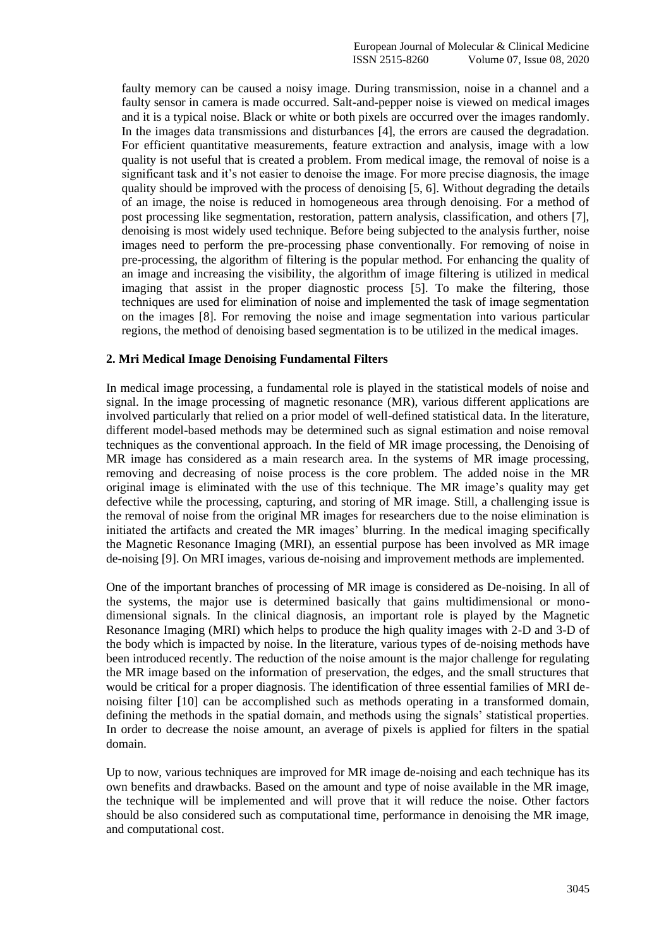faulty memory can be caused a noisy image. During transmission, noise in a channel and a faulty sensor in camera is made occurred. Salt-and-pepper noise is viewed on medical images and it is a typical noise. Black or white or both pixels are occurred over the images randomly. In the images data transmissions and disturbances [4], the errors are caused the degradation. For efficient quantitative measurements, feature extraction and analysis, image with a low quality is not useful that is created a problem. From medical image, the removal of noise is a significant task and it's not easier to denoise the image. For more precise diagnosis, the image quality should be improved with the process of denoising [5, 6]. Without degrading the details of an image, the noise is reduced in homogeneous area through denoising. For a method of post processing like segmentation, restoration, pattern analysis, classification, and others [7], denoising is most widely used technique. Before being subjected to the analysis further, noise images need to perform the pre-processing phase conventionally. For removing of noise in pre-processing, the algorithm of filtering is the popular method. For enhancing the quality of an image and increasing the visibility, the algorithm of image filtering is utilized in medical imaging that assist in the proper diagnostic process [5]. To make the filtering, those techniques are used for elimination of noise and implemented the task of image segmentation on the images [8]. For removing the noise and image segmentation into various particular regions, the method of denoising based segmentation is to be utilized in the medical images.

# **2. Mri Medical Image Denoising Fundamental Filters**

In medical image processing, a fundamental role is played in the statistical models of noise and signal. In the image processing of magnetic resonance (MR), various different applications are involved particularly that relied on a prior model of well-defined statistical data. In the literature, different model-based methods may be determined such as signal estimation and noise removal techniques as the conventional approach. In the field of MR image processing, the Denoising of MR image has considered as a main research area. In the systems of MR image processing, removing and decreasing of noise process is the core problem. The added noise in the MR original image is eliminated with the use of this technique. The MR image's quality may get defective while the processing, capturing, and storing of MR image. Still, a challenging issue is the removal of noise from the original MR images for researchers due to the noise elimination is initiated the artifacts and created the MR images' blurring. In the medical imaging specifically the Magnetic Resonance Imaging (MRI), an essential purpose has been involved as MR image de-noising [9]. On MRI images, various de-noising and improvement methods are implemented.

One of the important branches of processing of MR image is considered as De-noising. In all of the systems, the major use is determined basically that gains multidimensional or monodimensional signals. In the clinical diagnosis, an important role is played by the Magnetic Resonance Imaging (MRI) which helps to produce the high quality images with 2-D and 3-D of the body which is impacted by noise. In the literature, various types of de-noising methods have been introduced recently. The reduction of the noise amount is the major challenge for regulating the MR image based on the information of preservation, the edges, and the small structures that would be critical for a proper diagnosis. The identification of three essential families of MRI denoising filter [10] can be accomplished such as methods operating in a transformed domain, defining the methods in the spatial domain, and methods using the signals' statistical properties. In order to decrease the noise amount, an average of pixels is applied for filters in the spatial domain.

Up to now, various techniques are improved for MR image de-noising and each technique has its own benefits and drawbacks. Based on the amount and type of noise available in the MR image, the technique will be implemented and will prove that it will reduce the noise. Other factors should be also considered such as computational time, performance in denoising the MR image, and computational cost.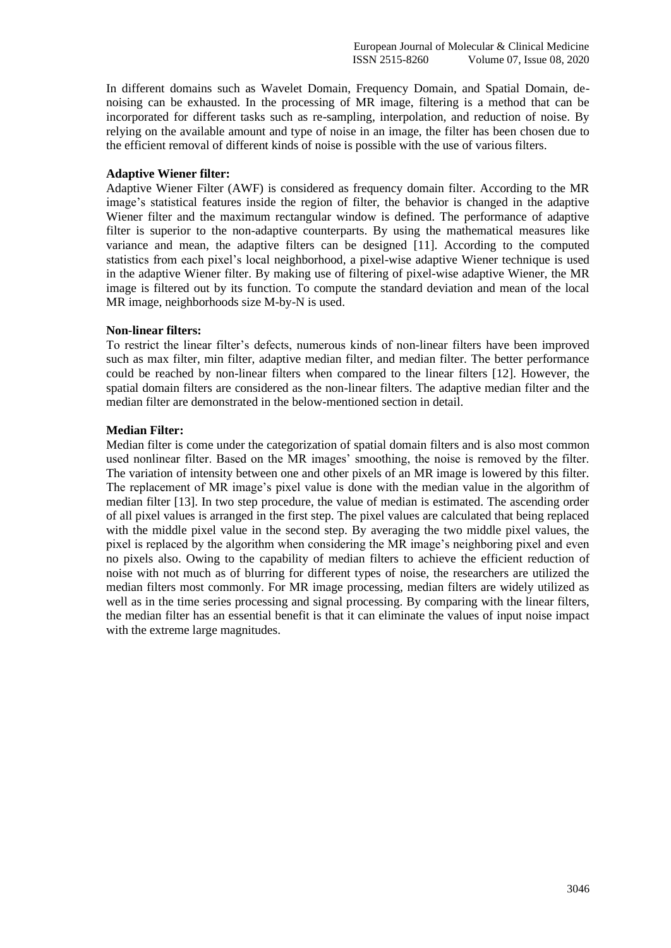In different domains such as Wavelet Domain, Frequency Domain, and Spatial Domain, denoising can be exhausted. In the processing of MR image, filtering is a method that can be incorporated for different tasks such as re-sampling, interpolation, and reduction of noise. By relying on the available amount and type of noise in an image, the filter has been chosen due to the efficient removal of different kinds of noise is possible with the use of various filters.

# **Adaptive Wiener filter:**

Adaptive Wiener Filter (AWF) is considered as frequency domain filter. According to the MR image's statistical features inside the region of filter, the behavior is changed in the adaptive Wiener filter and the maximum rectangular window is defined. The performance of adaptive filter is superior to the non-adaptive counterparts. By using the mathematical measures like variance and mean, the adaptive filters can be designed [11]. According to the computed statistics from each pixel's local neighborhood, a pixel-wise adaptive Wiener technique is used in the adaptive Wiener filter. By making use of filtering of pixel-wise adaptive Wiener, the MR image is filtered out by its function. To compute the standard deviation and mean of the local MR image, neighborhoods size M-by-N is used.

#### **Non-linear filters:**

To restrict the linear filter's defects, numerous kinds of non-linear filters have been improved such as max filter, min filter, adaptive median filter, and median filter. The better performance could be reached by non-linear filters when compared to the linear filters [12]. However, the spatial domain filters are considered as the non-linear filters. The adaptive median filter and the median filter are demonstrated in the below-mentioned section in detail.

#### **Median Filter:**

Median filter is come under the categorization of spatial domain filters and is also most common used nonlinear filter. Based on the MR images' smoothing, the noise is removed by the filter. The variation of intensity between one and other pixels of an MR image is lowered by this filter. The replacement of MR image's pixel value is done with the median value in the algorithm of median filter [13]. In two step procedure, the value of median is estimated. The ascending order of all pixel values is arranged in the first step. The pixel values are calculated that being replaced with the middle pixel value in the second step. By averaging the two middle pixel values, the pixel is replaced by the algorithm when considering the MR image's neighboring pixel and even no pixels also. Owing to the capability of median filters to achieve the efficient reduction of noise with not much as of blurring for different types of noise, the researchers are utilized the median filters most commonly. For MR image processing, median filters are widely utilized as well as in the time series processing and signal processing. By comparing with the linear filters, the median filter has an essential benefit is that it can eliminate the values of input noise impact with the extreme large magnitudes.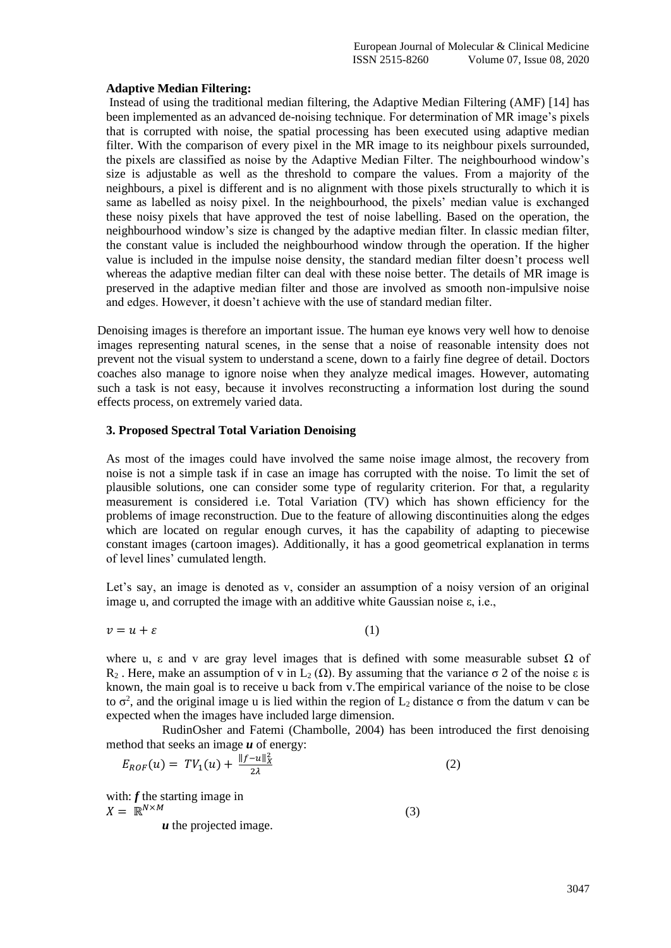#### **Adaptive Median Filtering:**

Instead of using the traditional median filtering, the Adaptive Median Filtering (AMF) [14] has been implemented as an advanced de-noising technique. For determination of MR image's pixels that is corrupted with noise, the spatial processing has been executed using adaptive median filter. With the comparison of every pixel in the MR image to its neighbour pixels surrounded, the pixels are classified as noise by the Adaptive Median Filter. The neighbourhood window's size is adjustable as well as the threshold to compare the values. From a majority of the neighbours, a pixel is different and is no alignment with those pixels structurally to which it is same as labelled as noisy pixel. In the neighbourhood, the pixels' median value is exchanged these noisy pixels that have approved the test of noise labelling. Based on the operation, the neighbourhood window's size is changed by the adaptive median filter. In classic median filter, the constant value is included the neighbourhood window through the operation. If the higher value is included in the impulse noise density, the standard median filter doesn't process well whereas the adaptive median filter can deal with these noise better. The details of MR image is preserved in the adaptive median filter and those are involved as smooth non-impulsive noise and edges. However, it doesn't achieve with the use of standard median filter.

Denoising images is therefore an important issue. The human eye knows very well how to denoise images representing natural scenes, in the sense that a noise of reasonable intensity does not prevent not the visual system to understand a scene, down to a fairly fine degree of detail. Doctors coaches also manage to ignore noise when they analyze medical images. However, automating such a task is not easy, because it involves reconstructing a information lost during the sound effects process, on extremely varied data.

# **3. Proposed Spectral Total Variation Denoising**

As most of the images could have involved the same noise image almost, the recovery from noise is not a simple task if in case an image has corrupted with the noise. To limit the set of plausible solutions, one can consider some type of regularity criterion. For that, a regularity measurement is considered i.e. Total Variation (TV) which has shown efficiency for the problems of image reconstruction. Due to the feature of allowing discontinuities along the edges which are located on regular enough curves, it has the capability of adapting to piecewise constant images (cartoon images). Additionally, it has a good geometrical explanation in terms of level lines' cumulated length.

Let's say, an image is denoted as v, consider an assumption of a noisy version of an original image u, and corrupted the image with an additive white Gaussian noise ε, i.e.,

$$
v = u + \varepsilon \tag{1}
$$

where u,  $\varepsilon$  and v are gray level images that is defined with some measurable subset  $\Omega$  of R<sub>2</sub>. Here, make an assumption of v in L<sub>2</sub> (Ω). By assuming that the variance σ 2 of the noise ε is known, the main goal is to receive u back from v.The empirical variance of the noise to be close to  $\sigma^2$ , and the original image u is lied within the region of  $L_2$  distance  $\sigma$  from the datum v can be expected when the images have included large dimension.

RudinOsher and Fatemi (Chambolle, 2004) has been introduced the first denoising method that seeks an image *u* of energy:

$$
E_{ROF}(u) = TV_1(u) + \frac{\|f - u\|_X^2}{2\lambda} \tag{2}
$$

with: **f** the starting image in  $X = \mathbb{R}^{N \times M}$  (3)

*u* the projected image.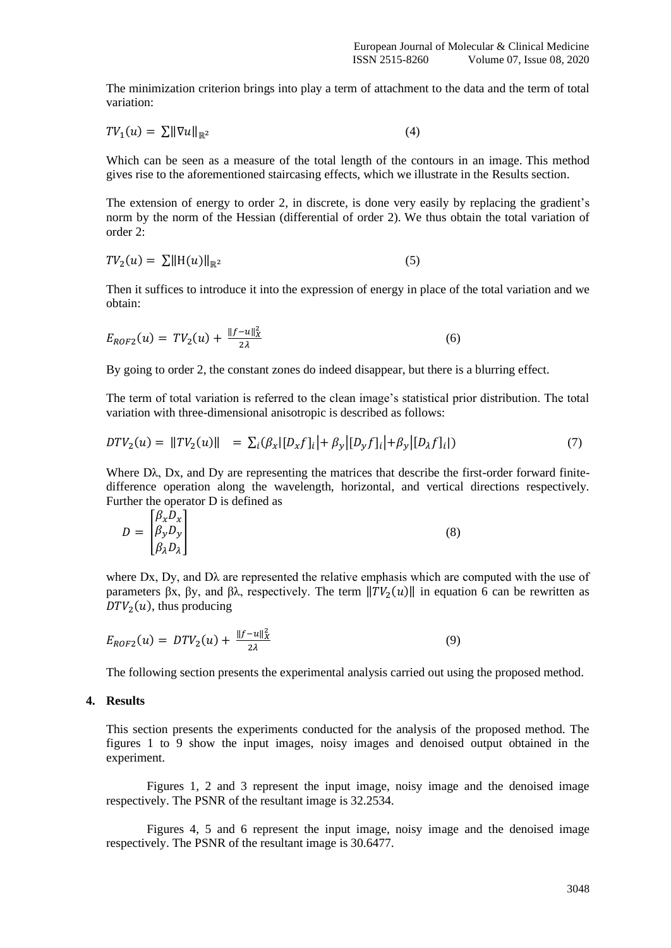The minimization criterion brings into play a term of attachment to the data and the term of total variation:

$$
TV_1(u) = \sum ||\nabla u||_{\mathbb{R}^2}
$$
 (4)

Which can be seen as a measure of the total length of the contours in an image. This method gives rise to the aforementioned staircasing effects, which we illustrate in the Results section.

The extension of energy to order 2, in discrete, is done very easily by replacing the gradient's norm by the norm of the Hessian (differential of order 2). We thus obtain the total variation of order 2:

$$
TV_2(u) = \sum ||H(u)||_{\mathbb{R}^2}
$$
\n<sup>(5)</sup>

Then it suffices to introduce it into the expression of energy in place of the total variation and we obtain:

$$
E_{ROF2}(u) = TV_2(u) + \frac{\|f - u\|_X^2}{2\lambda} \tag{6}
$$

By going to order 2, the constant zones do indeed disappear, but there is a blurring effect.

The term of total variation is referred to the clean image's statistical prior distribution. The total variation with three-dimensional anisotropic is described as follows:

$$
DTV_2(u) = ||TV_2(u)|| = \sum_i (\beta_x |[D_x f]_i| + \beta_y |[D_y f]_i| + \beta_y |[D_x f]_i|)
$$
\n(7)

Where Dλ, Dx, and Dy are representing the matrices that describe the first-order forward finitedifference operation along the wavelength, horizontal, and vertical directions respectively. Further the operator D is defined as

$$
D = \begin{bmatrix} \beta_x D_x \\ \beta_y D_y \\ \beta_\lambda D_\lambda \end{bmatrix} \tag{8}
$$

where Dx, Dy, and D $\lambda$  are represented the relative emphasis which are computed with the use of parameters βx, βy, and βλ, respectively. The term  $||TV_2(u)||$  in equation 6 can be rewritten as  $DTV<sub>2</sub>(u)$ , thus producing

$$
E_{ROF2}(u) = DTV_2(u) + \frac{\|f - u\|_X^2}{2\lambda} \tag{9}
$$

The following section presents the experimental analysis carried out using the proposed method.

# **4. Results**

This section presents the experiments conducted for the analysis of the proposed method. The figures 1 to 9 show the input images, noisy images and denoised output obtained in the experiment.

Figures 1, 2 and 3 represent the input image, noisy image and the denoised image respectively. The PSNR of the resultant image is 32.2534.

Figures 4, 5 and 6 represent the input image, noisy image and the denoised image respectively. The PSNR of the resultant image is 30.6477.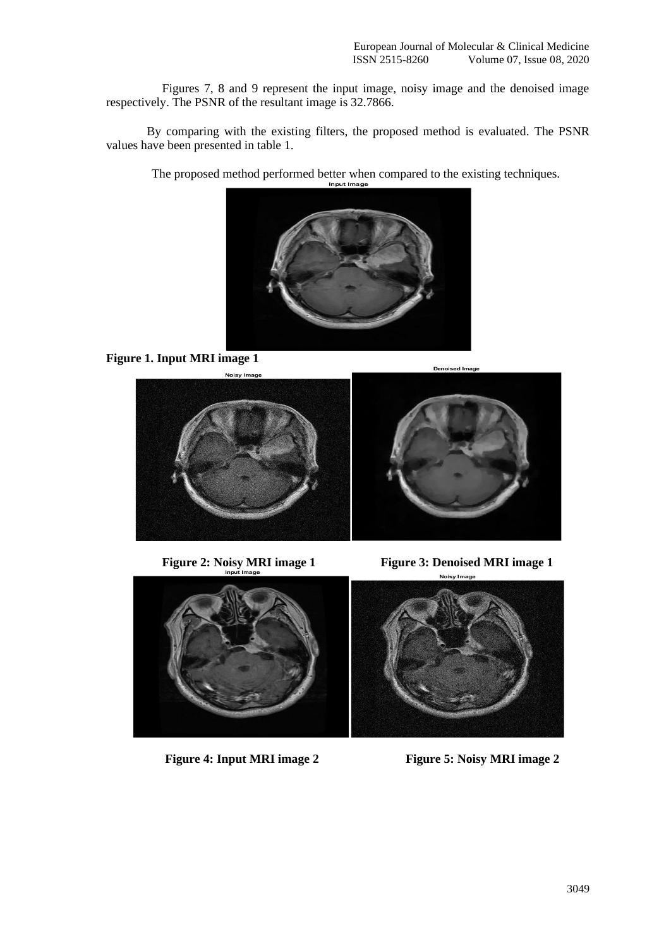Figures 7, 8 and 9 represent the input image, noisy image and the denoised image respectively. The PSNR of the resultant image is 32.7866.

By comparing with the existing filters, the proposed method is evaluated. The PSNR values have been presented in table 1.

The proposed method performed better when compared to the existing techniques.



**Figure 1. Input MRI image 1**



**Figure 2: Noisy MRI image 1** Figure 3: Denoised MRI image 1



**Figure 4: Input MRI image 2** Figure 5: Noisy MRI image 2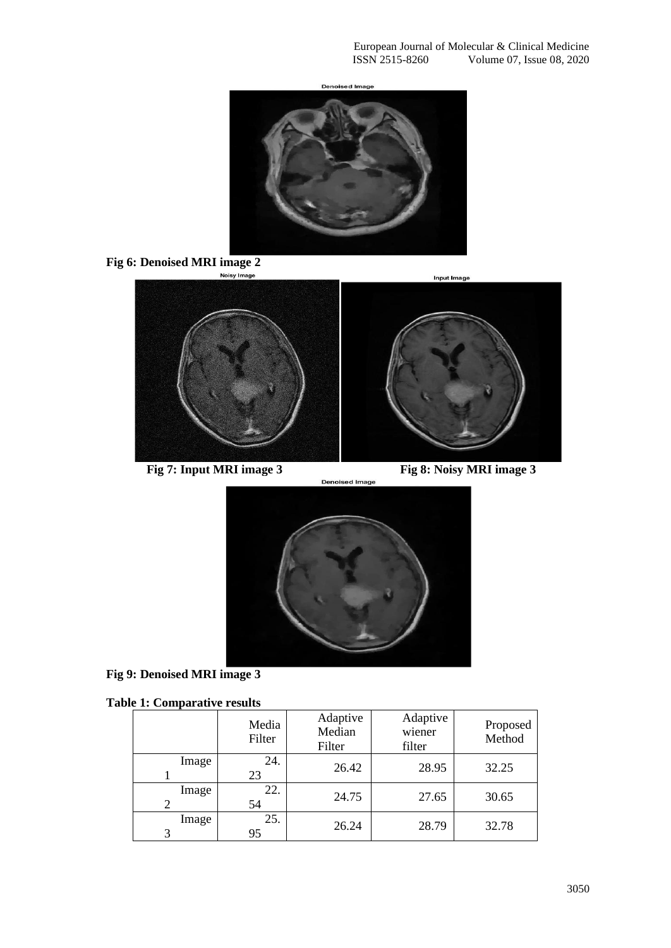**Denoised Image** 









**Fig 9: Denoised MRI image 3**

|  | <b>Table 1: Comparative results</b> |  |
|--|-------------------------------------|--|

|                        | Media<br>Filter | Adaptive<br>Median<br>Filter | Adaptive<br>wiener<br>filter | Proposed<br>Method |
|------------------------|-----------------|------------------------------|------------------------------|--------------------|
| Image                  | 24.<br>23       | 26.42                        | 28.95                        | 32.25              |
| Image<br>$\mathcal{P}$ | 22.<br>54       | 24.75                        | 27.65                        | 30.65              |
| Image<br>3             | 25.<br>95       | 26.24                        | 28.79                        | 32.78              |